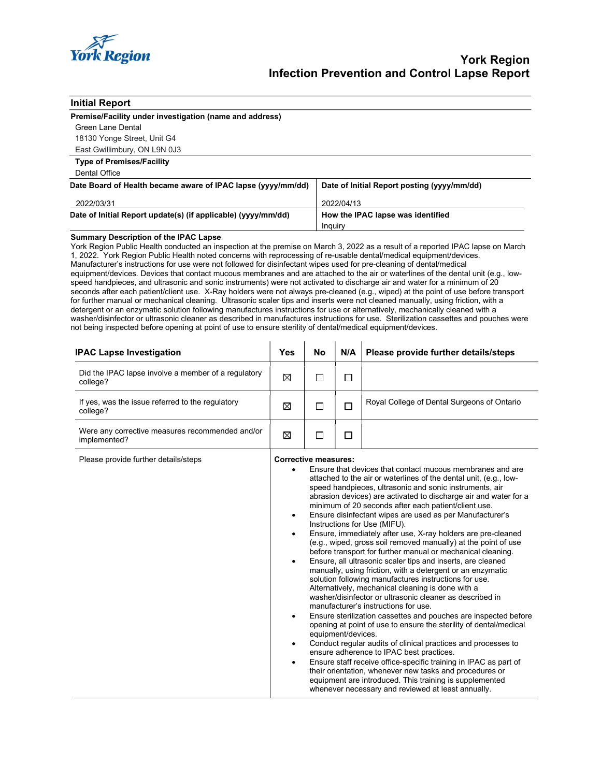

### Initial Report

#### Premise/Facility under investigation (name and address)

| Green Lane Dental            |
|------------------------------|
| 18130 Yonge Street, Unit G4  |
| East Gwillimbury, ON L9N 0J3 |

## Type of Premises/Facility

## Dental Office

| Date Board of Health became aware of IPAC lapse (yyyy/mm/dd)  | Date of Initial Report posting (yyyy/mm/dd) |
|---------------------------------------------------------------|---------------------------------------------|
| 2022/03/31                                                    | 2022/04/13                                  |
| Date of Initial Report update(s) (if applicable) (yyyy/mm/dd) | How the IPAC lapse was identified           |
|                                                               | Inquiry                                     |

### Summary Description of the IPAC Lapse

York Region Public Health conducted an inspection at the premise on March 3, 2022 as a result of a reported IPAC lapse on March 1, 2022. York Region Public Health noted concerns with reprocessing of re-usable dental/medical equipment/devices. Manufacturer's instructions for use were not followed for disinfectant wipes used for pre-cleaning of dental/medical equipment/devices. Devices that contact mucous membranes and are attached to the air or waterlines of the dental unit (e.g., lowspeed handpieces, and ultrasonic and sonic instruments) were not activated to discharge air and water for a minimum of 20 seconds after each patient/client use. X-Ray holders were not always pre-cleaned (e.g., wiped) at the point of use before transport for further manual or mechanical cleaning. Ultrasonic scaler tips and inserts were not cleaned manually, using friction, with a detergent or an enzymatic solution following manufactures instructions for use or alternatively, mechanically cleaned with a washer/disinfector or ultrasonic cleaner as described in manufactures instructions for use. Sterilization cassettes and pouches were not being inspected before opening at point of use to ensure sterility of dental/medical equipment/devices.

| <b>IPAC Lapse Investigation</b>                                 | <b>Yes</b>                                                                 | <b>No</b>                                                                                                                                                                                                                                                                                                                                                                                                                                                                                                                                                                                                                                                                                                                                                                                                                                                                                                                                                                                                                                                                                                                                                                                                                                                                                                                                                                                                                                                             | N/A | Please provide further details/steps               |
|-----------------------------------------------------------------|----------------------------------------------------------------------------|-----------------------------------------------------------------------------------------------------------------------------------------------------------------------------------------------------------------------------------------------------------------------------------------------------------------------------------------------------------------------------------------------------------------------------------------------------------------------------------------------------------------------------------------------------------------------------------------------------------------------------------------------------------------------------------------------------------------------------------------------------------------------------------------------------------------------------------------------------------------------------------------------------------------------------------------------------------------------------------------------------------------------------------------------------------------------------------------------------------------------------------------------------------------------------------------------------------------------------------------------------------------------------------------------------------------------------------------------------------------------------------------------------------------------------------------------------------------------|-----|----------------------------------------------------|
| Did the IPAC lapse involve a member of a regulatory<br>college? | ⊠                                                                          | П                                                                                                                                                                                                                                                                                                                                                                                                                                                                                                                                                                                                                                                                                                                                                                                                                                                                                                                                                                                                                                                                                                                                                                                                                                                                                                                                                                                                                                                                     | □   |                                                    |
| If yes, was the issue referred to the regulatory<br>college?    | ⊠                                                                          | П                                                                                                                                                                                                                                                                                                                                                                                                                                                                                                                                                                                                                                                                                                                                                                                                                                                                                                                                                                                                                                                                                                                                                                                                                                                                                                                                                                                                                                                                     | □   | Royal College of Dental Surgeons of Ontario        |
| Were any corrective measures recommended and/or<br>implemented? | ⊠                                                                          | П                                                                                                                                                                                                                                                                                                                                                                                                                                                                                                                                                                                                                                                                                                                                                                                                                                                                                                                                                                                                                                                                                                                                                                                                                                                                                                                                                                                                                                                                     | □   |                                                    |
| Please provide further details/steps                            | $\bullet$<br>$\bullet$<br>$\bullet$<br>$\bullet$<br>$\bullet$<br>$\bullet$ | <b>Corrective measures:</b><br>Ensure that devices that contact mucous membranes and are<br>attached to the air or waterlines of the dental unit, (e.g., low-<br>speed handpieces, ultrasonic and sonic instruments, air<br>abrasion devices) are activated to discharge air and water for a<br>minimum of 20 seconds after each patient/client use.<br>Ensure disinfectant wipes are used as per Manufacturer's<br>Instructions for Use (MIFU).<br>Ensure, immediately after use, X-ray holders are pre-cleaned<br>(e.g., wiped, gross soil removed manually) at the point of use<br>before transport for further manual or mechanical cleaning.<br>Ensure, all ultrasonic scaler tips and inserts, are cleaned<br>manually, using friction, with a detergent or an enzymatic<br>solution following manufactures instructions for use.<br>Alternatively, mechanical cleaning is done with a<br>washer/disinfector or ultrasonic cleaner as described in<br>manufacturer's instructions for use.<br>Ensure sterilization cassettes and pouches are inspected before<br>opening at point of use to ensure the sterility of dental/medical<br>equipment/devices.<br>Conduct regular audits of clinical practices and processes to<br>ensure adherence to IPAC best practices.<br>Ensure staff receive office-specific training in IPAC as part of<br>their orientation, whenever new tasks and procedures or<br>equipment are introduced. This training is supplemented |     | whenever necessary and reviewed at least annually. |